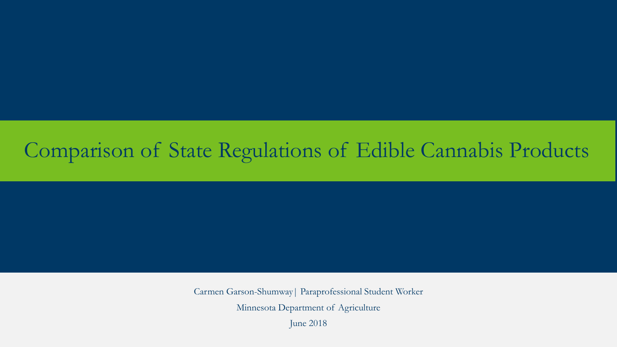### Comparison of State Regulations of Edible Cannabis Products

Carmen Garson-Shumway| Paraprofessional Student Worker Minnesota Department of Agriculture June 2018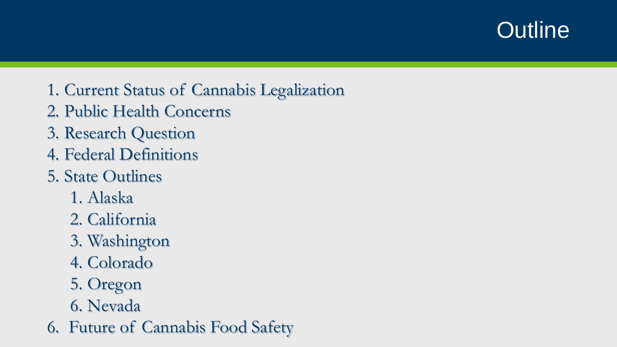### **Outline**

- 1. Current Status of Cannabis Legalization
- 2. Public Health Concerns
- 3. Research Question
- 4. Federal Definitions
- 5. State Outlines
	- 1. Alaska
	- 2. California
	- 3. Washington
	- 4. Colorado
	- 5. Oregon
	- 6. Nevada
- 6. Future of Cannabis Food Safety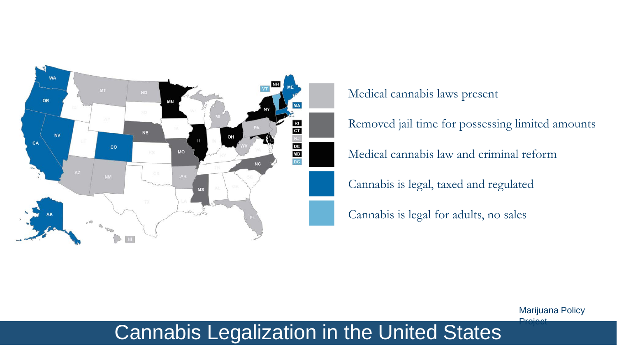

Medical cannabis laws present

Removed jail time for possessing limited amounts

Medical cannabis law and criminal reform

Cannabis is legal, taxed and regulated

Cannabis is legal for adults, no sales

Marijuana Policy **Droject** 

### Cannabis Legalization in the United States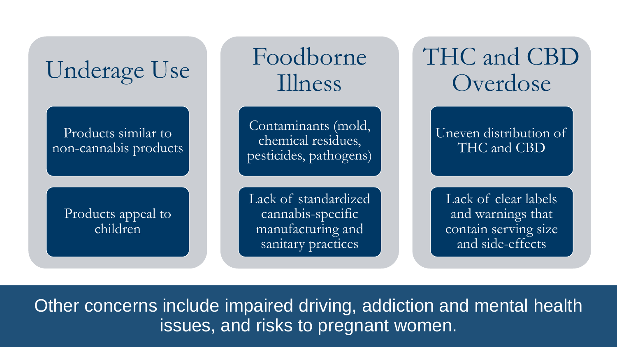

Foodborne Illness

Contaminants (mold, chemical residues, pesticides, pathogens)

Lack of standardized cannabis-specific manufacturing and sanitary practices

# THC and CBD Overdose

Uneven distribution of THC and CBD

Lack of clear labels and warnings that contain serving size and side-effects

Other concerns include impaired driving, addiction and mental health issues, and risks to pregnant women.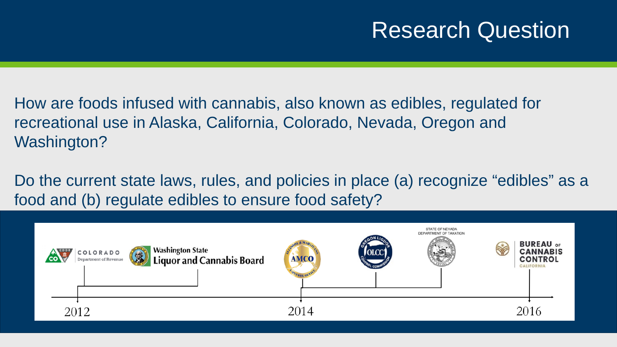### Research Question

How are foods infused with cannabis, also known as edibles, regulated for recreational use in Alaska, California, Colorado, Nevada, Oregon and Washington?

Do the current state laws, rules, and policies in place (a) recognize "edibles" as a food and (b) regulate edibles to ensure food safety?

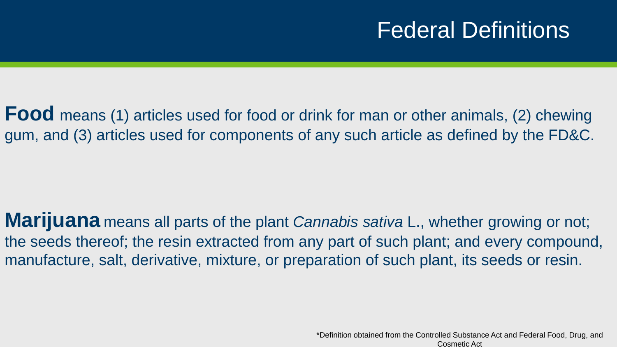## Federal Definitions

**Food** means (1) articles used for food or drink for man or other animals, (2) chewing gum, and (3) articles used for components of any such article as defined by the FD&C.

**Marijuana** means all parts of the plant *Cannabis sativa* L., whether growing or not; the seeds thereof; the resin extracted from any part of such plant; and every compound, manufacture, salt, derivative, mixture, or preparation of such plant, its seeds or resin.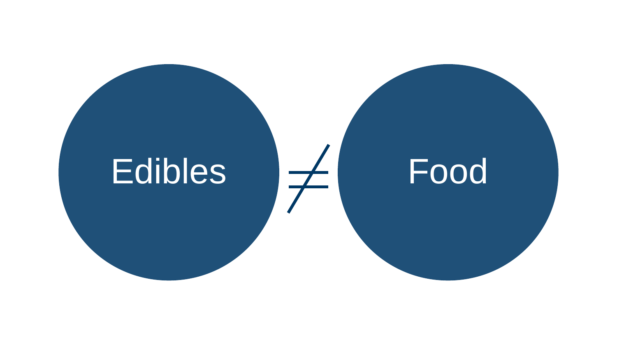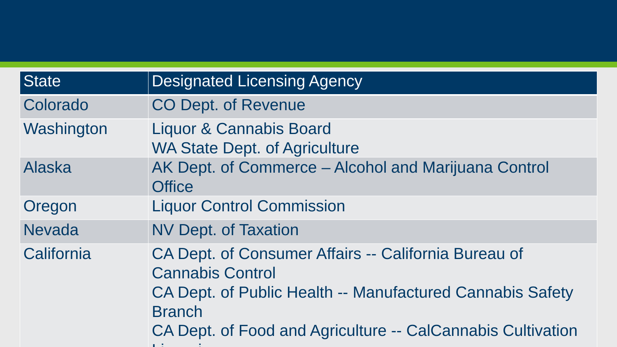| <b>State</b>  | <b>Designated Licensing Agency</b>                                                                                                                                                                                           |
|---------------|------------------------------------------------------------------------------------------------------------------------------------------------------------------------------------------------------------------------------|
| Colorado      | <b>CO Dept. of Revenue</b>                                                                                                                                                                                                   |
| Washington    | Liquor & Cannabis Board<br><b>WA State Dept. of Agriculture</b>                                                                                                                                                              |
| <b>Alaska</b> | AK Dept. of Commerce - Alcohol and Marijuana Control<br><b>Office</b>                                                                                                                                                        |
| Oregon        | <b>Liquor Control Commission</b>                                                                                                                                                                                             |
| <b>Nevada</b> | <b>NV Dept. of Taxation</b>                                                                                                                                                                                                  |
| California    | CA Dept. of Consumer Affairs -- California Bureau of<br><b>Cannabis Control</b><br>CA Dept. of Public Health -- Manufactured Cannabis Safety<br><b>Branch</b><br>CA Dept. of Food and Agriculture -- CalCannabis Cultivation |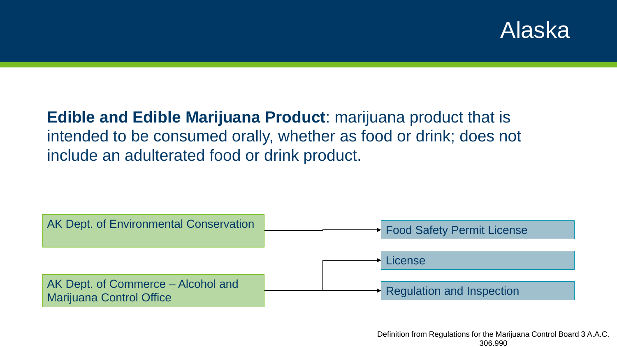### Alaska

### **Edible and Edible Marijuana Product**: marijuana product that is intended to be consumed orally, whether as food or drink; does not include an adulterated food or drink product.

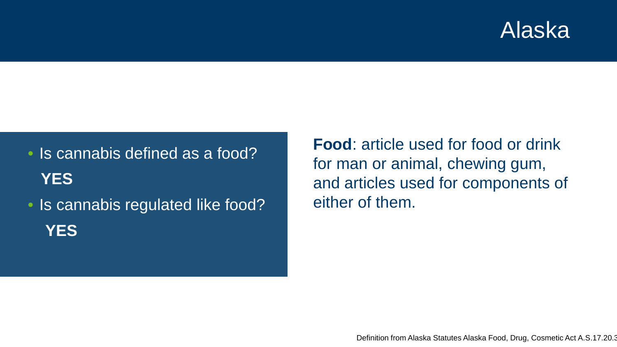### Alaska

• Is cannabis defined as a food? **YES**

• Is cannabis regulated like food? **YES**

**Food**: article used for food or drink for man or animal, chewing gum, and articles used for components of either of them.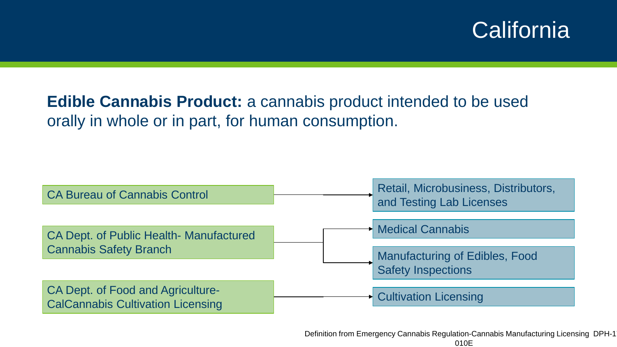### **California**

### **Edible Cannabis Product:** a cannabis product intended to be used orally in whole or in part, for human consumption.

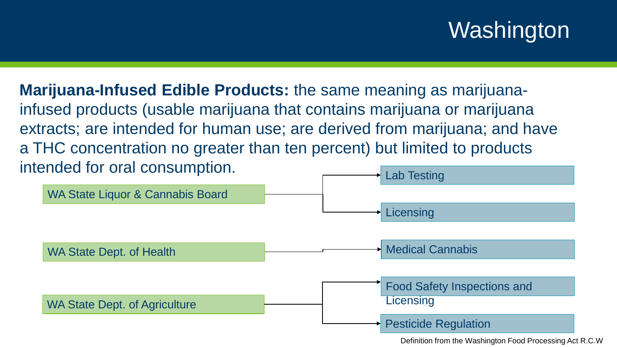# Washington

**Marijuana-Infused Edible Products:** the same meaning as marijuanainfused products (usable marijuana that contains marijuana or marijuana extracts; are intended for human use; are derived from marijuana; and have a THC concentration no greater than ten percent) but limited to products intended for oral consumption.

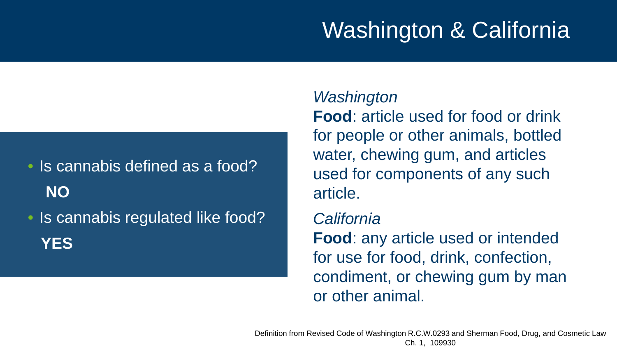# Washington & California

# • Is cannabis defined as a food? **NO** • Is cannabis regulated like food?

**YES**

#### *Washington*

**Food**: article used for food or drink for people or other animals, bottled water, chewing gum, and articles used for components of any such article.

#### *California*

**Food**: any article used or intended for use for food, drink, confection, condiment, or chewing gum by man or other animal.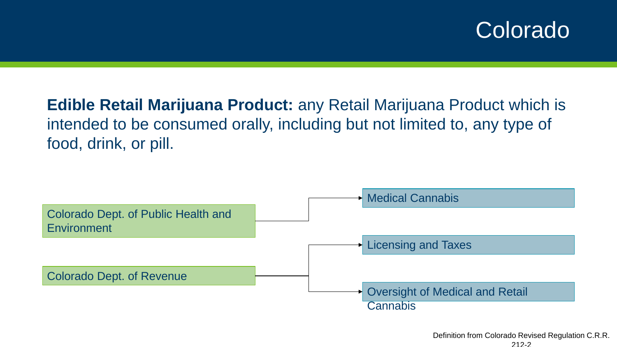### Colorado

### **Edible Retail Marijuana Product:** any Retail Marijuana Product which is intended to be consumed orally, including but not limited to, any type of food, drink, or pill.

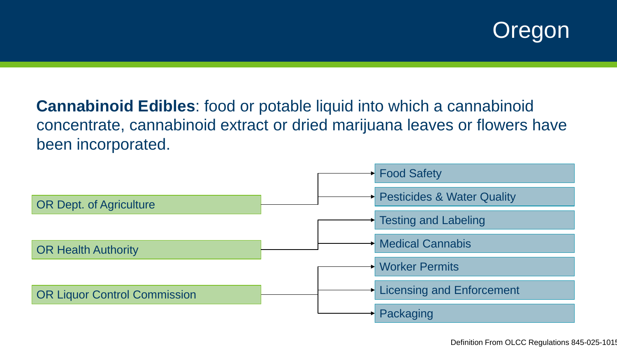

**Cannabinoid Edibles**: food or potable liquid into which a cannabinoid concentrate, cannabinoid extract or dried marijuana leaves or flowers have been incorporated.

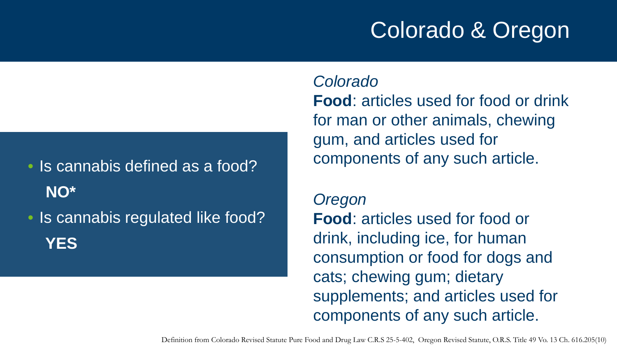# Colorado & Oregon

• Is cannabis defined as a food? **NO\***

• Is cannabis regulated like food? **YES**

*Colorado* **Food**: articles used for food or drink for man or other animals, chewing gum, and articles used for components of any such article.

*Oregon* **Food**: articles used for food or drink, including ice, for human consumption or food for dogs and cats; chewing gum; dietary supplements; and articles used for components of any such article.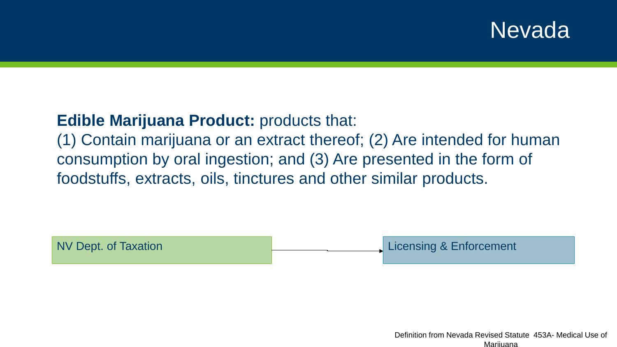### Nevada

#### **Edible Marijuana Product: products that:**

(1) Contain marijuana or an extract thereof; (2) Are intended for human consumption by oral ingestion; and (3) Are presented in the form of foodstuffs, extracts, oils, tinctures and other similar products.

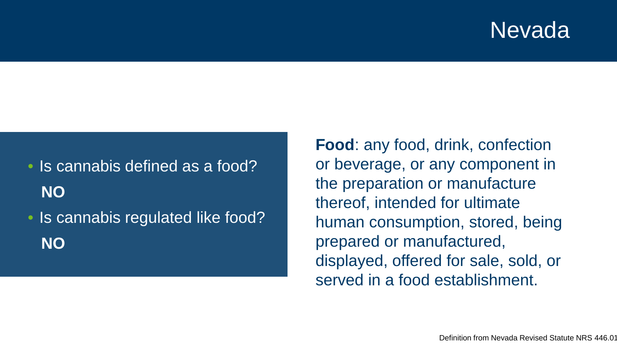### Nevada

• Is cannabis defined as a food? **NO** • Is cannabis regulated like food? **NO**

**Food**: any food, drink, confection or beverage, or any component in the preparation or manufacture thereof, intended for ultimate human consumption, stored, being prepared or manufactured, displayed, offered for sale, sold, or served in a food establishment.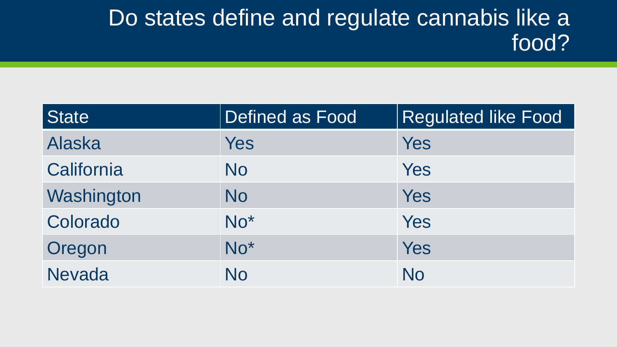### Do states define and regulate cannabis like a food?

| <b>State</b>  | Defined as Food | <b>Regulated like Food</b> |
|---------------|-----------------|----------------------------|
| <b>Alaska</b> | Yes             | Yes                        |
| California    | <b>No</b>       | Yes                        |
| Washington    | <b>No</b>       | Yes                        |
| Colorado      | $No*$           | Yes                        |
| Oregon        | $No*$           | Yes                        |
| <b>Nevada</b> | No              | No                         |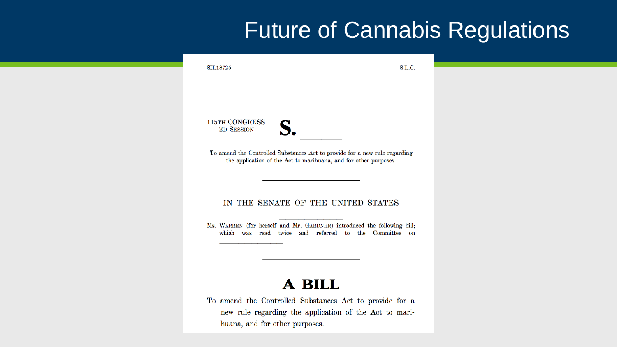### Future of Cannabis Regulations

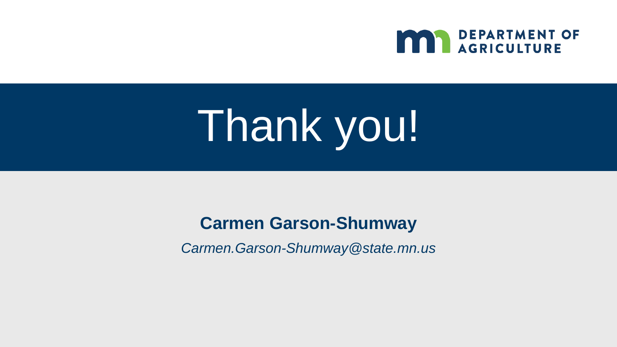

# Thank you!

### **Carmen Garson-Shumway**

*Carmen.Garson-Shumway@state.mn.us*